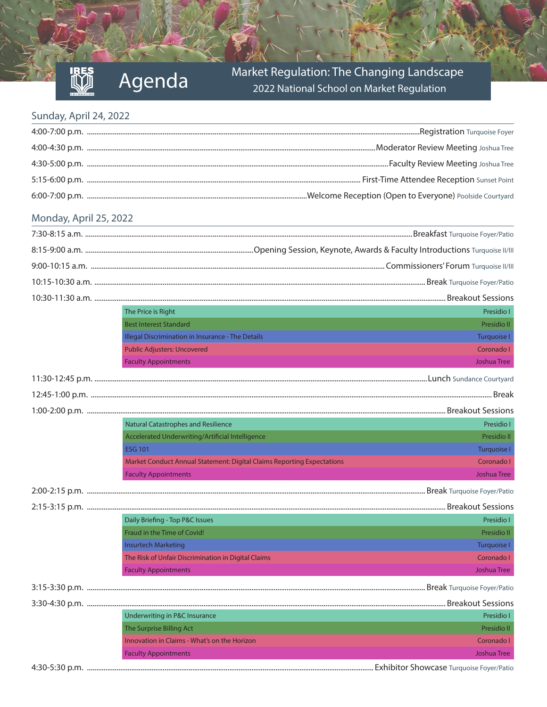# Market Regulation: The Changing Landscape<br>2022 National School on Market Regulation

#### Sunday, April 24, 2022

#### Monday, April 25, 2022

|                   | The Price is Right                                                     | Presidio I         |
|-------------------|------------------------------------------------------------------------|--------------------|
|                   | <b>Best Interest Standard</b>                                          | <b>Presidio II</b> |
|                   | Illegal Discrimination in Insurance - The Details                      | Turquoise I        |
|                   | <b>Public Adjusters: Uncovered</b>                                     | Coronado I         |
|                   | <b>Faculty Appointments</b>                                            | <b>Joshua Tree</b> |
|                   |                                                                        |                    |
|                   |                                                                        |                    |
|                   |                                                                        |                    |
|                   | <b>Natural Catastrophes and Resilience</b>                             | Presidio I         |
|                   | Accelerated Underwriting/Artificial Intelligence                       | Presidio II        |
|                   | <b>ESG 101</b>                                                         | <b>Turquoise I</b> |
|                   | Market Conduct Annual Statement: Digital Claims Reporting Expectations | Coronado I         |
|                   | <b>Faculty Appointments</b>                                            | <b>Joshua Tree</b> |
|                   |                                                                        |                    |
|                   |                                                                        |                    |
|                   | Daily Briefing - Top P&C Issues                                        | Presidio I         |
|                   | Fraud in the Time of Covid!                                            | Presidio II        |
|                   | <b>Insurtech Marketing</b>                                             | Turquoise I        |
|                   | The Risk of Unfair Discrimination in Digital Claims                    | Coronado I         |
|                   | <b>Faculty Appointments</b>                                            | <b>Joshua Tree</b> |
| $2.15$ $2.20$ n m |                                                                        |                    |

3:15-3:30 p.m. ....................................................................................................................................................................................... Break Turquoise Foyer/Patio 3:30-4:30 p.m. .................................................................................................................................................................................................. Breakout Sessions Underwriting in P&C Insurance Presidio I

| onacrivining in rac insurance                | ו טושוכטו   |
|----------------------------------------------|-------------|
| The Surprise Billing Act                     | Presidio II |
| Innovation in Claims - What's on the Horizon | Coronado I  |
| <b>Faculty Appointments</b>                  | Joshua Tree |
|                                              |             |

4:30-5:30 p.m. ........................................................................................................................................................... Exhibitor Showcase Turquoise Foyer/Patio